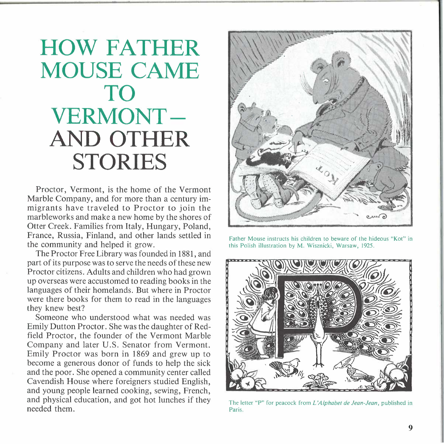## **HOW FATHER MOUSE CAME TO VERMONT-AND OTHER STORIES**

Proctor, Vermont, is the home of the Vermont Marble Company, and for more than a century immigrants have traveled to Proctor to join the marbleworks and make a new home by the shores of Otter Creek. Families from Italy, Hungary, Poland, France, Russia, Finland, and other lands settled in the community and helped it grow.

The Proctor Free Library was founded in 1881, and part of its purpose was to serve the needs of these new Proctor citizens. Adults and children who had grown up overseas were accustomed to reading books in the languages of their homelands. But where in Proctor were there books for them to read in the languages they knew best?

Someone who understood what was needed was Emily Dutton Proctor. She was the daughter of Redfield Proctor, the founder of the Vermont Marble Company and later U.S. Senator from Vermont. Emily Proctor was born in 1869 and grew up to become a generous donor of funds to help the sick and the poor. She opened a community center called Cavendish House where foreigners studied English, and young people learned cooking, sewing, French, and physical education, and got hot lunches if they needed them.



Father Mouse instructs his children to beware of the hideous "Kot" in this Polish illustration by M. Wisznicki, Warsaw, 1925.



The letter "P" for peacock from *L'Alphabet de Jean-Jean*, published in Paris.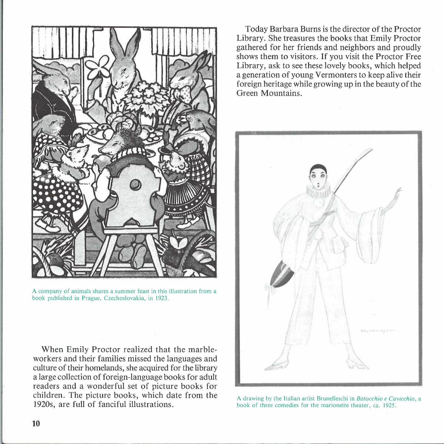

A company of animals shares a summer feast in this illustration from a book published in Prague, Czechoslovakia, in 1923.

When Emily Proctor realized that the marbleworkers and their families missed the languages and culture of their homelands, she acquired for the library a large collection of foreign-language books for adult readers and a wonderful set of picture books for children. The picture books, which date from the 1920s, are full of fanciful illustrations.

Today Barbara Burns is the director of the Proctor Library. She treasures the books that Emily Proctor gathered for her friends and neighbors and proudly shows them to visitors. If you visit the Proctor Free Library, ask to see these lovely books, which helped a generation of young Vermonters to keep alive their foreign heritage while growing up in the beauty of the Green Mountains.



A drawing by the Italian artist Brunelleschi in *Batocchio e Cavicchia,* a book of three comedies for the marionette theater, ca. 1925.